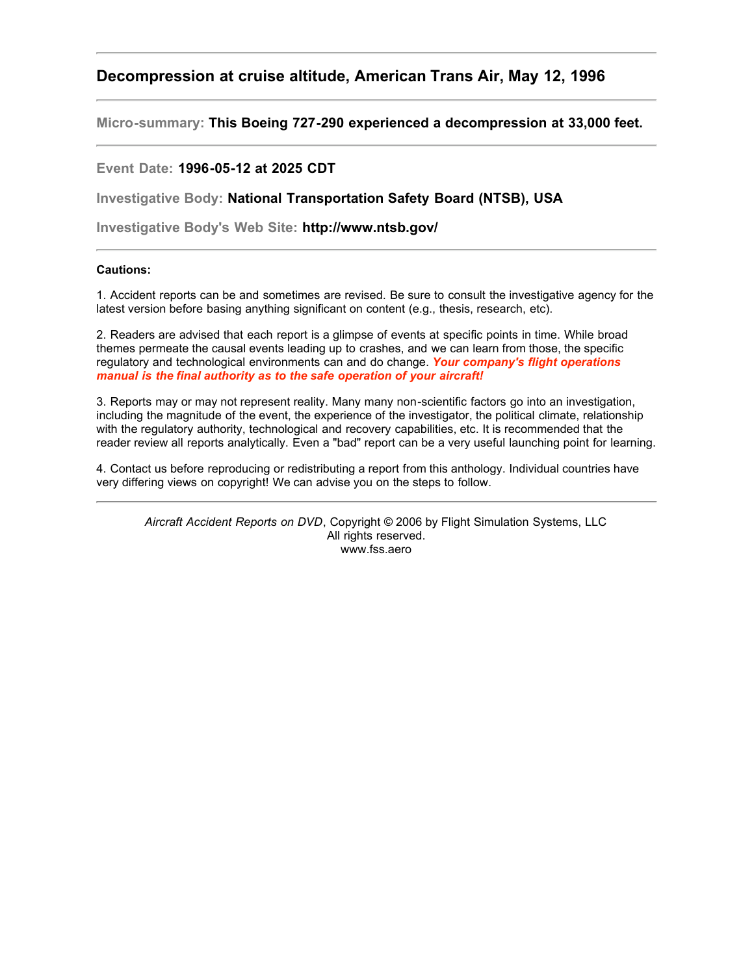# **Decompression at cruise altitude, American Trans Air, May 12, 1996**

**Micro-summary: This Boeing 727-290 experienced a decompression at 33,000 feet.**

# **Event Date: 1996-05-12 at 2025 CDT**

**Investigative Body: National Transportation Safety Board (NTSB), USA**

**Investigative Body's Web Site: http://www.ntsb.gov/**

# **Cautions:**

1. Accident reports can be and sometimes are revised. Be sure to consult the investigative agency for the latest version before basing anything significant on content (e.g., thesis, research, etc).

2. Readers are advised that each report is a glimpse of events at specific points in time. While broad themes permeate the causal events leading up to crashes, and we can learn from those, the specific regulatory and technological environments can and do change. *Your company's flight operations manual is the final authority as to the safe operation of your aircraft!*

3. Reports may or may not represent reality. Many many non-scientific factors go into an investigation, including the magnitude of the event, the experience of the investigator, the political climate, relationship with the regulatory authority, technological and recovery capabilities, etc. It is recommended that the reader review all reports analytically. Even a "bad" report can be a very useful launching point for learning.

4. Contact us before reproducing or redistributing a report from this anthology. Individual countries have very differing views on copyright! We can advise you on the steps to follow.

*Aircraft Accident Reports on DVD*, Copyright © 2006 by Flight Simulation Systems, LLC All rights reserved. www.fss.aero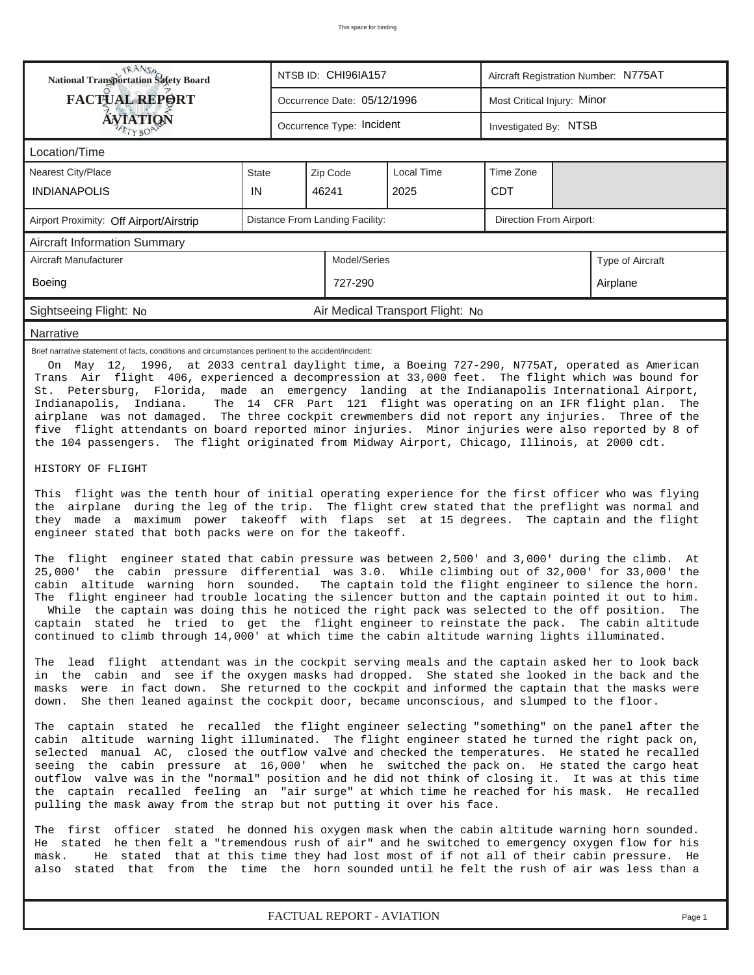| <b>NANSA</b><br>National Transportation Safety Board                                                                                                                                                                                                                                                                                                                                                                                                                                                                                                                                                                                                                                                                         |                                                     | NTSB ID: CHI96IA157<br>Aircraft Registration Number: N775AT |                             |  |  |                             |        |  |  |  |
|------------------------------------------------------------------------------------------------------------------------------------------------------------------------------------------------------------------------------------------------------------------------------------------------------------------------------------------------------------------------------------------------------------------------------------------------------------------------------------------------------------------------------------------------------------------------------------------------------------------------------------------------------------------------------------------------------------------------------|-----------------------------------------------------|-------------------------------------------------------------|-----------------------------|--|--|-----------------------------|--------|--|--|--|
| <b>FACTUAL REPORT</b>                                                                                                                                                                                                                                                                                                                                                                                                                                                                                                                                                                                                                                                                                                        |                                                     |                                                             | Occurrence Date: 05/12/1996 |  |  | Most Critical Injury: Minor |        |  |  |  |
| <b>ÁVIATION</b><br>ETYBOP                                                                                                                                                                                                                                                                                                                                                                                                                                                                                                                                                                                                                                                                                                    |                                                     | Occurrence Type: Incident<br>Investigated By: NTSB          |                             |  |  |                             |        |  |  |  |
| Location/Time                                                                                                                                                                                                                                                                                                                                                                                                                                                                                                                                                                                                                                                                                                                |                                                     |                                                             |                             |  |  |                             |        |  |  |  |
| <b>Nearest City/Place</b>                                                                                                                                                                                                                                                                                                                                                                                                                                                                                                                                                                                                                                                                                                    | Local Time<br>Time Zone<br>Zip Code<br><b>State</b> |                                                             |                             |  |  |                             |        |  |  |  |
| <b>INDIANAPOLIS</b>                                                                                                                                                                                                                                                                                                                                                                                                                                                                                                                                                                                                                                                                                                          | IN                                                  | <b>CDT</b><br>46241<br>2025                                 |                             |  |  |                             |        |  |  |  |
| Airport Proximity: Off Airport/Airstrip                                                                                                                                                                                                                                                                                                                                                                                                                                                                                                                                                                                                                                                                                      |                                                     | Direction From Airport:<br>Distance From Landing Facility:  |                             |  |  |                             |        |  |  |  |
| <b>Aircraft Information Summary</b>                                                                                                                                                                                                                                                                                                                                                                                                                                                                                                                                                                                                                                                                                          |                                                     |                                                             |                             |  |  |                             |        |  |  |  |
| Aircraft Manufacturer<br>Model/Series<br>Type of Aircraft                                                                                                                                                                                                                                                                                                                                                                                                                                                                                                                                                                                                                                                                    |                                                     |                                                             |                             |  |  |                             |        |  |  |  |
| <b>Boeing</b><br>727-290<br>Airplane                                                                                                                                                                                                                                                                                                                                                                                                                                                                                                                                                                                                                                                                                         |                                                     |                                                             |                             |  |  |                             |        |  |  |  |
| Air Medical Transport Flight: No<br>Sightseeing Flight: No                                                                                                                                                                                                                                                                                                                                                                                                                                                                                                                                                                                                                                                                   |                                                     |                                                             |                             |  |  |                             |        |  |  |  |
| Narrative                                                                                                                                                                                                                                                                                                                                                                                                                                                                                                                                                                                                                                                                                                                    |                                                     |                                                             |                             |  |  |                             |        |  |  |  |
| Trans Air flight 406, experienced a decompression at 33,000 feet. The flight which was bound for<br>St. Petersburg, Florida, made an emergency landing at the Indianapolis International Airport,<br>The 14 CFR Part 121 flight was operating on an IFR flight plan.<br>Indianapolis,<br>Indiana.<br>The<br>airplane was not damaged. The three cockpit crewmembers did not report any injuries. Three of the<br>five flight attendants on board reported minor injuries. Minor injuries were also reported by 8 of<br>the 104 passengers. The flight originated from Midway Airport, Chicago, Illinois, at 2000 cdt.                                                                                                        |                                                     |                                                             |                             |  |  |                             |        |  |  |  |
| HISTORY OF FLIGHT                                                                                                                                                                                                                                                                                                                                                                                                                                                                                                                                                                                                                                                                                                            |                                                     |                                                             |                             |  |  |                             |        |  |  |  |
| This flight was the tenth hour of initial operating experience for the first officer who was flying<br>the airplane during the leg of the trip. The flight crew stated that the preflight was normal and<br>they made a maximum power takeoff with flaps set at 15 degrees. The captain and the flight<br>engineer stated that both packs were on for the takeoff.                                                                                                                                                                                                                                                                                                                                                           |                                                     |                                                             |                             |  |  |                             |        |  |  |  |
| The flight engineer stated that cabin pressure was between 2,500' and 3,000' during the climb.<br>At<br>25,000' the cabin pressure differential was 3.0. While climbing out of 32,000' for 33,000' the<br>cabin altitude warning horn sounded.<br>The captain told the flight engineer to silence the horn.<br>The flight engineer had trouble locating the silencer button and the captain pointed it out to him.<br>While the captain was doing this he noticed the right pack was selected to the off position.<br>The<br>captain stated he tried to get the flight engineer to reinstate the pack. The cabin altitude<br>continued to climb through 14,000' at which time the cabin altitude warning lights illuminated. |                                                     |                                                             |                             |  |  |                             |        |  |  |  |
| The lead flight attendant was in the cockpit serving meals and the captain asked her to look back<br>in the cabin and see if the oxygen masks had dropped. She stated she looked in the back and the<br>masks were in fact down. She returned to the cockpit and informed the captain that the masks were<br>She then leaned against the cockpit door, became unconscious, and slumped to the floor.<br>down.                                                                                                                                                                                                                                                                                                                |                                                     |                                                             |                             |  |  |                             |        |  |  |  |
| The captain stated he recalled the flight engineer selecting "something" on the panel after the<br>cabin altitude warning light illuminated. The flight engineer stated he turned the right pack on,<br>selected manual AC, closed the outflow valve and checked the temperatures. He stated he recalled<br>seeing the cabin pressure at 16,000' when he switched the pack on. He stated the cargo heat<br>outflow valve was in the "normal" position and he did not think of closing it. It was at this time<br>the captain recalled feeling an "air surge" at which time he reached for his mask. He recalled<br>pulling the mask away from the strap but not putting it over his face.                                    |                                                     |                                                             |                             |  |  |                             |        |  |  |  |
| The first officer stated he donned his oxygen mask when the cabin altitude warning horn sounded.<br>He stated he then felt a "tremendous rush of air" and he switched to emergency oxygen flow for his<br>He stated that at this time they had lost most of if not all of their cabin pressure. He<br>mask.<br>stated that from the time the horn sounded until he felt the rush of air was less than a<br>also                                                                                                                                                                                                                                                                                                              |                                                     |                                                             |                             |  |  |                             |        |  |  |  |
|                                                                                                                                                                                                                                                                                                                                                                                                                                                                                                                                                                                                                                                                                                                              |                                                     |                                                             | FACTUAL REPORT - AVIATION   |  |  |                             | Page 1 |  |  |  |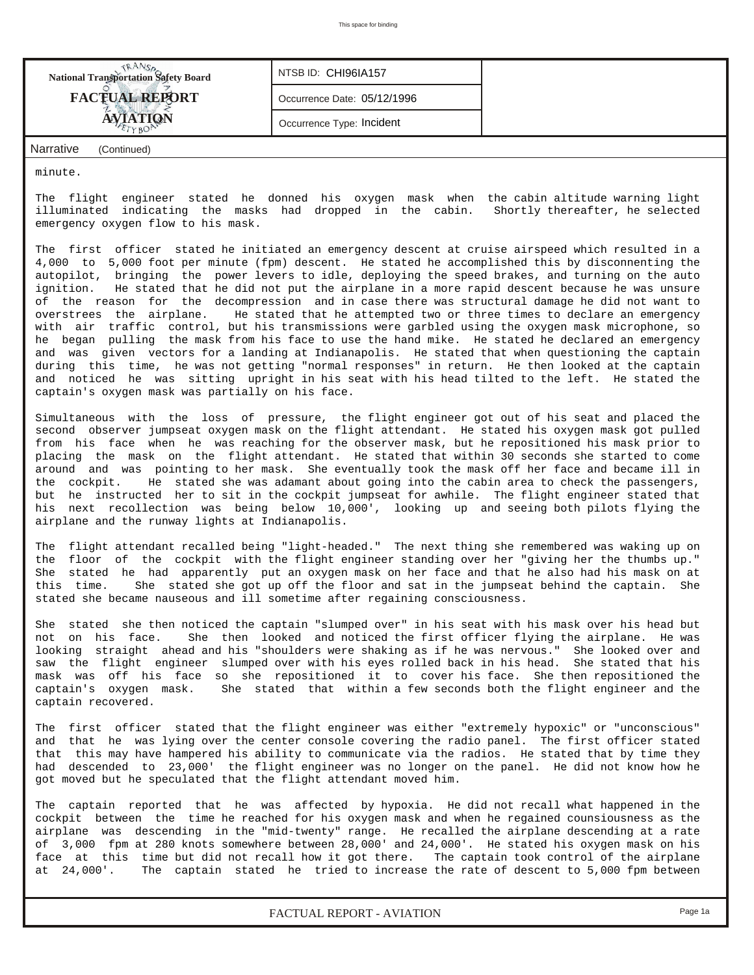| <b>National Transportation Safety Board</b> | NTSB ID: CHI96IA157         |  |
|---------------------------------------------|-----------------------------|--|
| <b>FACTUAL REPORT</b>                       | Occurrence Date: 05/12/1996 |  |
| <b>AVIATION</b>                             | Occurrence Type: Incident   |  |
| Narrative<br>(Continued)                    |                             |  |

minute.

The flight engineer stated he donned his oxygen mask when the cabin altitude warning light illuminated indicating the masks had dropped in the cabin. Shortly thereafter, he selected emergency oxygen flow to his mask.

The first officer stated he initiated an emergency descent at cruise airspeed which resulted in a 4,000 to 5,000 foot per minute (fpm) descent. He stated he accomplished this by disconnenting the autopilot, bringing the power levers to idle, deploying the speed brakes, and turning on the auto ignition. He stated that he did not put the airplane in a more rapid descent because he was unsure of the reason for the decompression and in case there was structural damage he did not want to overstrees the airplane. He stated that he attempted two or three times to declare an emergency with air traffic control, but his transmissions were garbled using the oxygen mask microphone, so he began pulling the mask from his face to use the hand mike. He stated he declared an emergency and was given vectors for a landing at Indianapolis. He stated that when questioning the captain during this time, he was not getting "normal responses" in return. He then looked at the captain and noticed he was sitting upright in his seat with his head tilted to the left. He stated the captain's oxygen mask was partially on his face.

Simultaneous with the loss of pressure, the flight engineer got out of his seat and placed the second observer jumpseat oxygen mask on the flight attendant. He stated his oxygen mask got pulled from his face when he was reaching for the observer mask, but he repositioned his mask prior to placing the mask on the flight attendant. He stated that within 30 seconds she started to come around and was pointing to her mask. She eventually took the mask off her face and became ill in the cockpit. He stated she was adamant about going into the cabin area to check the passengers, but he instructed her to sit in the cockpit jumpseat for awhile. The flight engineer stated that his next recollection was being below 10,000', looking up and seeing both pilots flying the airplane and the runway lights at Indianapolis.

The flight attendant recalled being "light-headed." The next thing she remembered was waking up on the floor of the cockpit with the flight engineer standing over her "giving her the thumbs up." She stated he had apparently put an oxygen mask on her face and that he also had his mask on at this time. She stated she got up off the floor and sat in the jumpseat behind the captain. She stated she became nauseous and ill sometime after regaining consciousness.

She stated she then noticed the captain "slumped over" in his seat with his mask over his head but not on his face. She then looked and noticed the first officer flying the airplane. He was looking straight ahead and his "shoulders were shaking as if he was nervous." She looked over and saw the flight engineer slumped over with his eyes rolled back in his head. She stated that his mask was off his face so she repositioned it to cover-his-face. She then repositioned the captain's oxygen mask. She stated that within a few seconds both the flight engineer and the She stated that within a few seconds both the flight engineer and the captain recovered.

The first officer stated that the flight engineer was either "extremely hypoxic" or "unconscious" and that he was lying over the center console covering the radio panel. The first officer stated that this may have hampered his ability to communicate via the radios. He stated that by time they had descended to 23,000' the flight engineer was no longer on the panel. He did not know how he got moved but he speculated that the flight attendant moved him.

The captain reported that he was affected by hypoxia. He did not recall what happened in the cockpit between the time he reached for his oxygen mask and when he regained counsiousness as the airplane was descending in the "mid-twenty" range. He recalled the airplane descending at a rate of 3,000 fpm at 280 knots somewhere between 28,000' and 24,000'. He stated his oxygen mask on his face at this time but did not recall how it got there. The captain took control of the airplane<br>at 24,000'. The captain stated he tried to increase the rate of descent to 5,000 fpm between The captain stated he tried to increase the rate of descent to 5,000 fpm between

*FACTUAL REPORT - AVIATION Page 1a*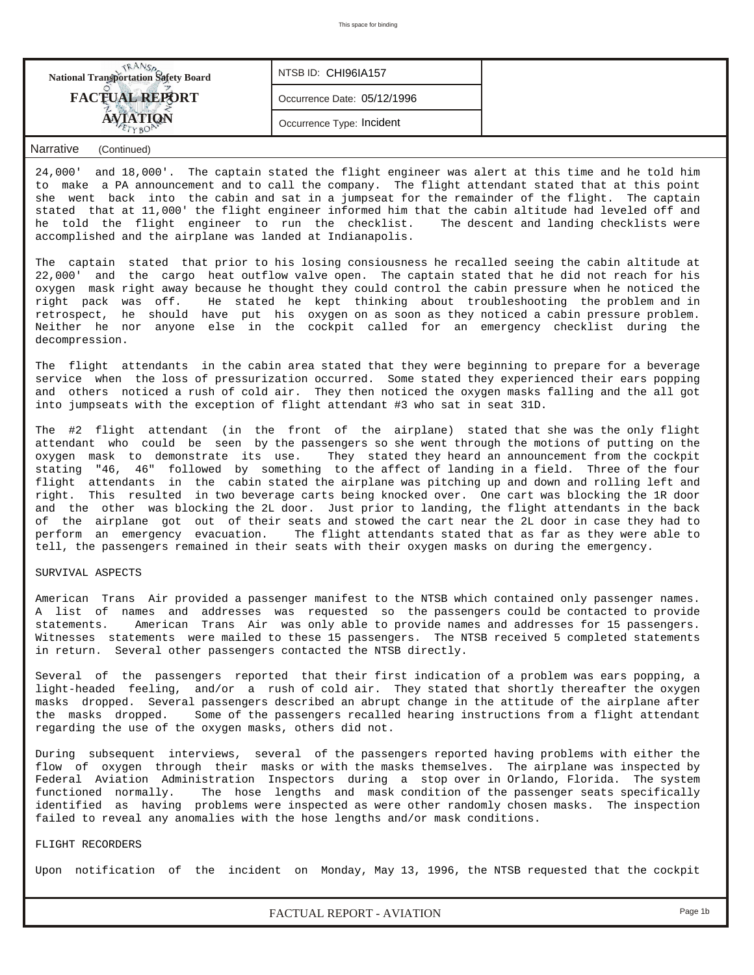| <b>National Transportation Safety Board</b> | NTSB ID: CHI96IA157         |  |
|---------------------------------------------|-----------------------------|--|
| <b>FACTUAL REPORT</b>                       | Occurrence Date: 05/12/1996 |  |
|                                             | Occurrence Type: Incident   |  |

### *Narrative (Continued)*

24,000' and 18,000'. The captain stated the flight engineer was alert at this time and he told him to make a PA announcement and to call the company. The flight attendant stated that at this point she went back into the cabin and sat in a jumpseat for the remainder of the flight. The captain stated that at 11,000' the flight engineer informed him that the cabin altitude had leveled off and he told the flight engineer to run the checklist. The descent and landing checklists were accomplished and the airplane was landed at Indianapolis.

The captain stated that prior to his losing consiousness he recalled seeing the cabin altitude at 22,000' and the cargo heat outflow valve open. The captain stated that he did not reach for his oxygen mask right away because he thought they could control the cabin pressure when he noticed the right pack was off. He stated he kept thinking about troubleshooting the problem and in retrospect, he should have put his oxygen on as soon as they noticed a cabin pressure problem. Neither he nor anyone else in the cockpit called for an emergency checklist during the decompression.

The flight attendants in the cabin area stated that they were beginning to prepare for a beverage service when the loss of pressurization occurred. Some stated they experienced their ears popping and others noticed a rush of cold air. They then noticed the oxygen masks falling and the all got into jumpseats with the exception of flight attendant #3 who sat in seat 31D.

The #2 flight attendant (in the front of the airplane) stated that she was the only flight attendant who could be seen by the passengers so she went through the motions of putting on the oxygen mask to demonstrate its use. They stated they heard an announcement from the cockpit stating "46, 46" followed by something to the affect of landing in a field. Three of the four flight attendants in the cabin stated the airplane was pitching up and down and rolling left and right. This resulted in two beverage carts being knocked over. One cart was blocking the 1R door and the other was blocking the 2L door. Just prior to landing, the flight attendants in the back of the airplane got out of their seats and stowed the cart near the 2L door in case they had to perform an emergency evacuation. The flight attendants stated that as far as they were able to tell, the passengers remained in their seats with their oxygen masks on during the emergency.

#### SURVIVAL ASPECTS

American Trans Air provided a passenger manifest to the NTSB which contained only passenger names. A list of names and addresses was requested so the passengers could be contacted to provide statements. American Trans Air was only able to provide names and addresses for 15 passengers. Witnesses statements were mailed to these 15 passengers. The NTSB received 5 completed statements in return. Several other passengers contacted the NTSB directly.

Several of the passengers reported that their first indication of a problem was ears popping, a light-headed feeling, and/or a rush of cold air. They stated that shortly thereafter the oxygen masks dropped. Several passengers described an abrupt change in the attitude of the airplane after the masks dropped. Some of the passengers recalled hearing instructions from a flight attendant regarding the use of the oxygen masks, others did not.

During subsequent interviews, several of the passengers reported having problems with either the flow of oxygen through their masks or with the masks themselves. The airplane was inspected by Federal Aviation Administration Inspectors during a stop over in Orlando, Florida. The system functioned normally. The hose lengths and mask condition of the passenger seats specifically identified as having problems were inspected as were other randomly chosen masks. The inspection failed to reveal any anomalies with the hose lengths and/or mask conditions.

#### FLIGHT RECORDERS

Upon notification of the incident on Monday, May 13, 1996, the NTSB requested that the cockpit

*FACTUAL REPORT - AVIATION Page 1b*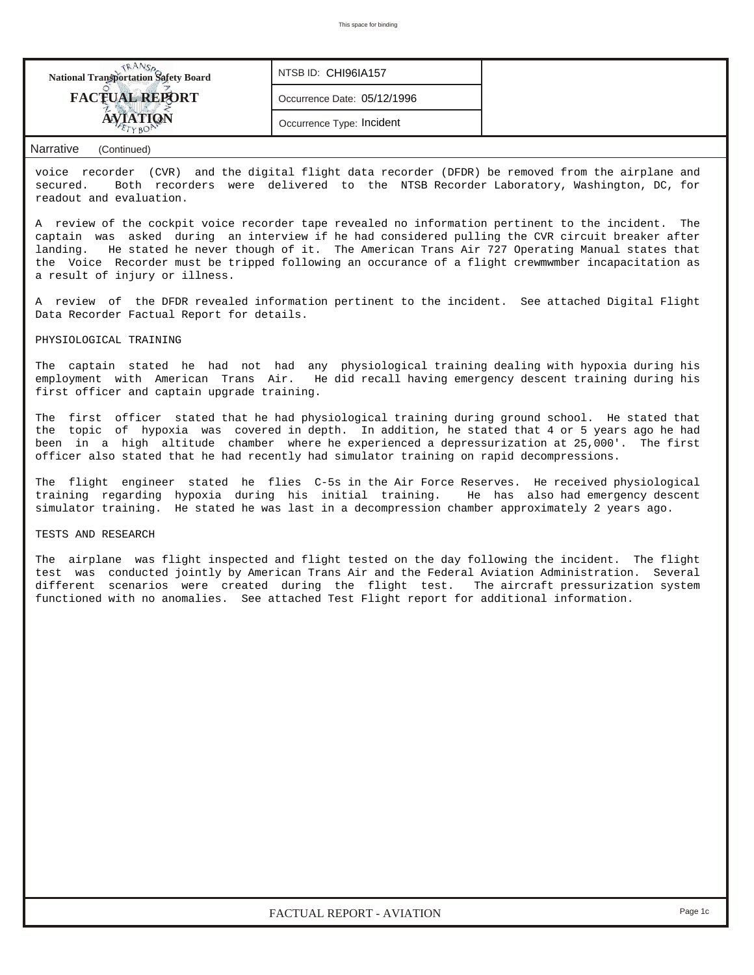| <b>National Transportation Safety Board</b> | NTSB ID: CHI96IA157         |  |
|---------------------------------------------|-----------------------------|--|
| <b>FACTUAL REPORT</b>                       | Occurrence Date: 05/12/1996 |  |
|                                             | Occurrence Type: Incident   |  |

#### *Narrative (Continued)*

voice recorder (CVR) and the digital flight data recorder (DFDR) be removed from the airplane and secured. Both recorders were delivered to the NTSB Recorder Laboratory, Washington, DC, for readout and evaluation.

A review of the cockpit voice recorder tape revealed no information pertinent to the incident. The captain was asked during an interview if he had considered pulling the CVR circuit breaker after landing. He stated he never though of it. The American Trans Air 727 Operating Manual states that the Voice Recorder must be tripped following an occurance of a flight crewmwmber incapacitation as a result of injury or illness.

A review of the DFDR revealed information pertinent to the incident. See attached Digital Flight Data Recorder Factual Report for details.

#### PHYSIOLOGICAL TRAINING

The captain stated he had not had any physiological training dealing with hypoxia during his<br>employment with American Trans Air. He did recall having emergency descent training during his He did recall having emergency descent training during his first officer and captain upgrade training.

The first officer stated that he had physiological training during ground school. He stated that the topic of hypoxia was covered in depth. In addition, he stated that 4 or 5 years ago he had been in a high altitude chamber where he experienced a depressurization at 25,000'. The first officer also stated that he had recently had simulator training on rapid decompressions.

The flight engineer stated he flies C-5s in the Air Force Reserves. He received physiological training regarding hypoxia during his initial training. He has also had emergency descent simulator training. He stated he was last in a decompression chamber approximately 2 years ago.

## TESTS AND RESEARCH

The airplane was flight inspected and flight tested on the day following the incident. The flight test was conducted jointly by American Trans Air and the Federal Aviation Administration. Several different scenarios were created during the flight test. The aircraft pressurization system functioned with no anomalies. See attached Test Flight report for additional information.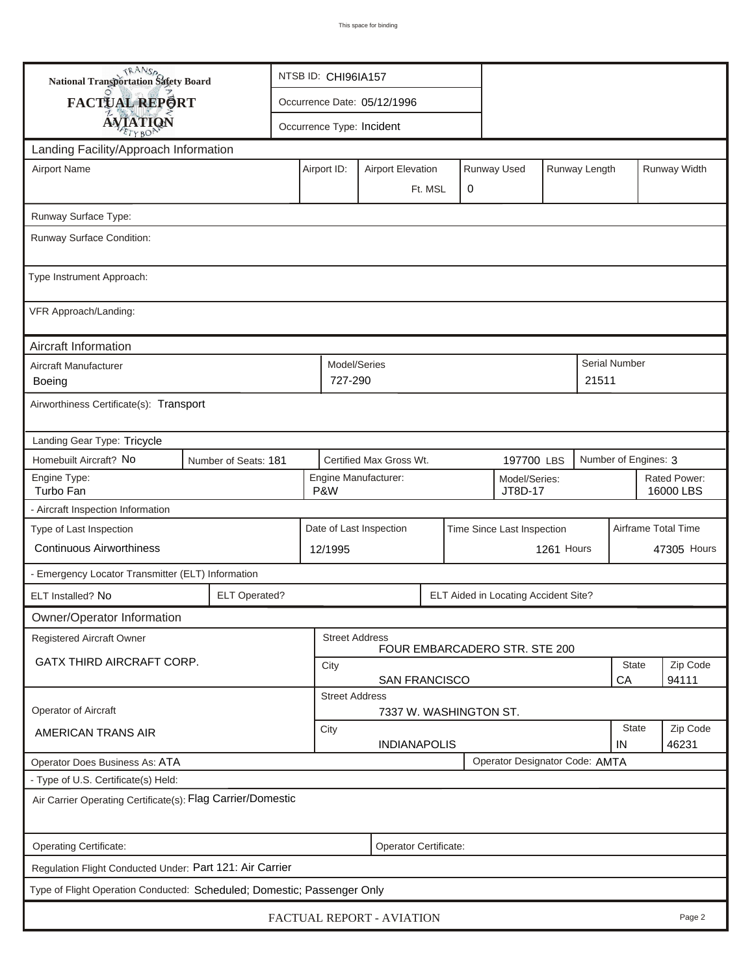| <b>National Transportation Safety Board</b>                             |                                                              | NTSB ID: CHI96IA157                                                  |                                                       |               |                                      |       |                           |                     |  |  |  |
|-------------------------------------------------------------------------|--------------------------------------------------------------|----------------------------------------------------------------------|-------------------------------------------------------|---------------|--------------------------------------|-------|---------------------------|---------------------|--|--|--|
| FACTUAL REPORT                                                          |                                                              |                                                                      | Occurrence Date: 05/12/1996                           |               |                                      |       |                           |                     |  |  |  |
| <b>AVIATION</b>                                                         |                                                              |                                                                      | Occurrence Type: Incident                             |               |                                      |       |                           |                     |  |  |  |
| Landing Facility/Approach Information                                   |                                                              |                                                                      |                                                       |               |                                      |       |                           |                     |  |  |  |
| <b>Airport Name</b>                                                     |                                                              | Airport ID:                                                          | <b>Airport Elevation</b>                              | Runway Length | Runway Width                         |       |                           |                     |  |  |  |
|                                                                         |                                                              |                                                                      | Ft. MSL                                               | $\mathbf 0$   |                                      |       |                           |                     |  |  |  |
| Runway Surface Type:                                                    |                                                              |                                                                      |                                                       |               |                                      |       |                           |                     |  |  |  |
| Runway Surface Condition:                                               |                                                              |                                                                      |                                                       |               |                                      |       |                           |                     |  |  |  |
| Type Instrument Approach:                                               |                                                              |                                                                      |                                                       |               |                                      |       |                           |                     |  |  |  |
| VFR Approach/Landing:                                                   |                                                              |                                                                      |                                                       |               |                                      |       |                           |                     |  |  |  |
| Aircraft Information                                                    |                                                              |                                                                      |                                                       |               |                                      |       |                           |                     |  |  |  |
| Aircraft Manufacturer                                                   |                                                              |                                                                      | Model/Series                                          |               |                                      | 21511 | Serial Number             |                     |  |  |  |
| <b>Boeing</b>                                                           |                                                              |                                                                      | 727-290                                               |               |                                      |       |                           |                     |  |  |  |
| Airworthiness Certificate(s): Transport                                 |                                                              |                                                                      |                                                       |               |                                      |       |                           |                     |  |  |  |
| Landing Gear Type: Tricycle                                             |                                                              |                                                                      |                                                       |               |                                      |       |                           |                     |  |  |  |
| Homebuilt Aircraft? No                                                  | Number of Seats: 181                                         |                                                                      | Certified Max Gross Wt.                               |               | 197700 LBS                           |       | Number of Engines: 3      |                     |  |  |  |
| Engine Type:<br>Turbo Fan                                               | P&W                                                          | Engine Manufacturer:<br>Model/Series:<br>JT8D-17                     |                                                       |               |                                      |       | Rated Power:<br>16000 LBS |                     |  |  |  |
| - Aircraft Inspection Information                                       |                                                              |                                                                      |                                                       |               |                                      |       |                           |                     |  |  |  |
| Type of Last Inspection                                                 |                                                              |                                                                      | Date of Last Inspection<br>Time Since Last Inspection |               |                                      |       |                           | Airframe Total Time |  |  |  |
| <b>Continuous Airworthiness</b>                                         |                                                              | 12/1995                                                              | 1261 Hours                                            |               |                                      |       |                           | 47305 Hours         |  |  |  |
| - Emergency Locator Transmitter (ELT) Information                       |                                                              |                                                                      |                                                       |               |                                      |       |                           |                     |  |  |  |
| ELT Installed? No                                                       | <b>ELT Operated?</b>                                         |                                                                      |                                                       |               | ELT Aided in Locating Accident Site? |       |                           |                     |  |  |  |
| Owner/Operator Information                                              |                                                              |                                                                      |                                                       |               |                                      |       |                           |                     |  |  |  |
| <b>Registered Aircraft Owner</b>                                        |                                                              | <b>Street Address</b><br>FOUR EMBARCADERO STR. STE 200               |                                                       |               |                                      |       |                           |                     |  |  |  |
| GATX THIRD AIRCRAFT CORP.                                               |                                                              | State<br>City                                                        |                                                       |               |                                      |       |                           | Zip Code            |  |  |  |
|                                                                         | 94111<br>CA<br><b>SAN FRANCISCO</b><br><b>Street Address</b> |                                                                      |                                                       |               |                                      |       |                           |                     |  |  |  |
| Operator of Aircraft                                                    |                                                              | 7337 W. WASHINGTON ST.                                               |                                                       |               |                                      |       |                           |                     |  |  |  |
| <b>AMERICAN TRANS AIR</b>                                               |                                                              | City                                                                 |                                                       |               |                                      |       |                           | Zip Code            |  |  |  |
| Operator Does Business As: ATA                                          |                                                              | 46231<br><b>INDIANAPOLIS</b><br>IN<br>Operator Designator Code: AMTA |                                                       |               |                                      |       |                           |                     |  |  |  |
| - Type of U.S. Certificate(s) Held:                                     |                                                              |                                                                      |                                                       |               |                                      |       |                           |                     |  |  |  |
| Air Carrier Operating Certificate(s): Flag Carrier/Domestic             |                                                              |                                                                      |                                                       |               |                                      |       |                           |                     |  |  |  |
| Operating Certificate:                                                  |                                                              |                                                                      | Operator Certificate:                                 |               |                                      |       |                           |                     |  |  |  |
| Regulation Flight Conducted Under: Part 121: Air Carrier                |                                                              |                                                                      |                                                       |               |                                      |       |                           |                     |  |  |  |
| Type of Flight Operation Conducted: Scheduled; Domestic; Passenger Only |                                                              |                                                                      |                                                       |               |                                      |       |                           |                     |  |  |  |
|                                                                         |                                                              |                                                                      | FACTUAL REPORT - AVIATION                             |               |                                      |       |                           | Page 2              |  |  |  |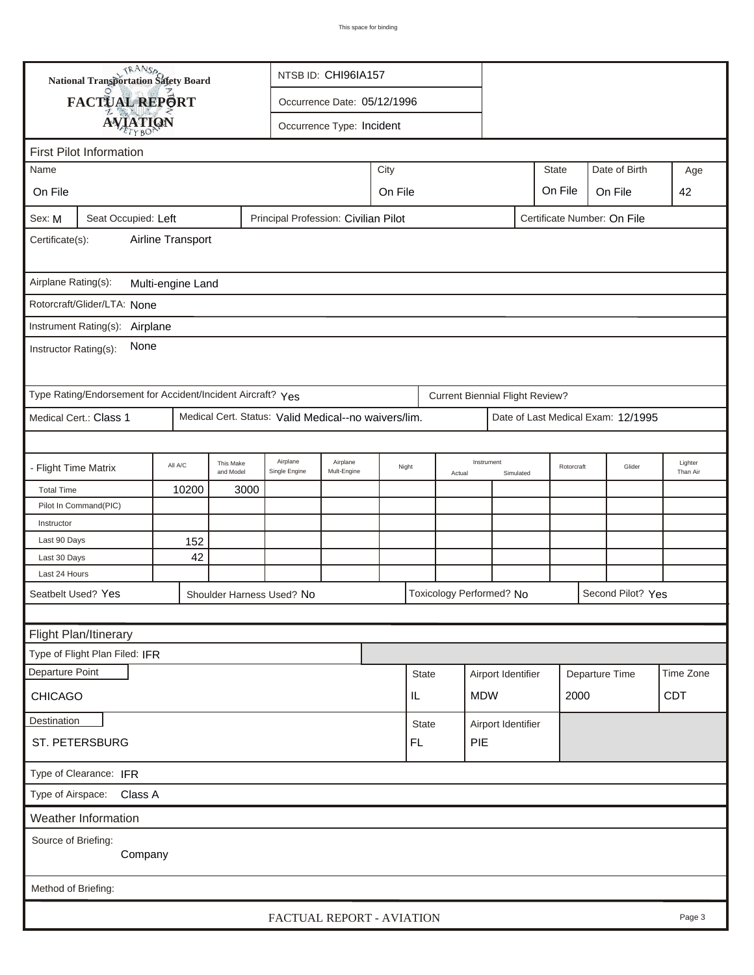| <b>National Transportation Safety Board</b>                                                          |                                                                                           |         |                           | NTSB ID: CHI96IA157 |      |              |        |                                        |                    |                |  |                                    |                     |
|------------------------------------------------------------------------------------------------------|-------------------------------------------------------------------------------------------|---------|---------------------------|---------------------|------|--------------|--------|----------------------------------------|--------------------|----------------|--|------------------------------------|---------------------|
| FACTUAL REPORT<br>Occurrence Date: 05/12/1996                                                        |                                                                                           |         |                           |                     |      |              |        |                                        |                    |                |  |                                    |                     |
|                                                                                                      |                                                                                           |         |                           |                     |      |              |        |                                        |                    |                |  |                                    |                     |
| <b>AVIATION</b><br>Occurrence Type: Incident                                                         |                                                                                           |         |                           |                     |      |              |        |                                        |                    |                |  |                                    |                     |
| <b>First Pilot Information</b>                                                                       |                                                                                           |         |                           |                     |      |              |        |                                        |                    |                |  |                                    |                     |
| Name                                                                                                 |                                                                                           |         |                           |                     | City |              |        |                                        |                    | <b>State</b>   |  | Date of Birth                      | Age                 |
| On File                                                                                              |                                                                                           | On File |                           |                     |      |              |        |                                        |                    | On File        |  | On File                            | 42                  |
| Principal Profession: Civilian Pilot<br>Certificate Number: On File<br>Sex: M<br>Seat Occupied: Left |                                                                                           |         |                           |                     |      |              |        |                                        |                    |                |  |                                    |                     |
| Certificate(s):                                                                                      | Airline Transport                                                                         |         |                           |                     |      |              |        |                                        |                    |                |  |                                    |                     |
| Airplane Rating(s):<br>Multi-engine Land                                                             |                                                                                           |         |                           |                     |      |              |        |                                        |                    |                |  |                                    |                     |
| Rotorcraft/Glider/LTA: None                                                                          |                                                                                           |         |                           |                     |      |              |        |                                        |                    |                |  |                                    |                     |
| Instrument Rating(s): Airplane                                                                       |                                                                                           |         |                           |                     |      |              |        |                                        |                    |                |  |                                    |                     |
| None<br>Instructor Rating(s):                                                                        |                                                                                           |         |                           |                     |      |              |        |                                        |                    |                |  |                                    |                     |
| Type Rating/Endorsement for Accident/Incident Aircraft? Yes                                          |                                                                                           |         |                           |                     |      |              |        | <b>Current Biennial Flight Review?</b> |                    |                |  |                                    |                     |
| Medical Cert.: Class 1<br>Medical Cert. Status: Valid Medical--no waivers/lim.                       |                                                                                           |         |                           |                     |      |              |        |                                        |                    |                |  | Date of Last Medical Exam: 12/1995 |                     |
|                                                                                                      |                                                                                           |         |                           |                     |      |              |        |                                        |                    |                |  |                                    |                     |
| - Flight Time Matrix                                                                                 | Airplane<br>Airplane<br>This Make<br>All A/C<br>Mult-Engine<br>and Model<br>Single Engine |         |                           |                     |      | Night        | Actual | Instrument                             | Simulated          | Rotorcraft     |  | Glider                             | Lighter<br>Than Air |
| <b>Total Time</b>                                                                                    | 10200<br>3000                                                                             |         |                           |                     |      |              |        |                                        |                    |                |  |                                    |                     |
| Pilot In Command(PIC)                                                                                |                                                                                           |         |                           |                     |      |              |        |                                        |                    |                |  |                                    |                     |
| Instructor                                                                                           |                                                                                           |         |                           |                     |      |              |        |                                        |                    |                |  |                                    |                     |
| Last 90 Days                                                                                         | 152                                                                                       |         |                           |                     |      |              |        |                                        |                    |                |  |                                    |                     |
| Last 30 Days                                                                                         | 42                                                                                        |         |                           |                     |      |              |        |                                        |                    |                |  |                                    |                     |
| Last 24 Hours                                                                                        |                                                                                           |         |                           |                     |      |              |        |                                        |                    |                |  |                                    |                     |
| Seatbelt Used? Yes<br>Shoulder Harness Used? No                                                      |                                                                                           |         |                           |                     |      |              |        | Toxicology Performed? No               |                    |                |  | Second Pilot? Yes                  |                     |
|                                                                                                      |                                                                                           |         |                           |                     |      |              |        |                                        |                    |                |  |                                    |                     |
| Flight Plan/Itinerary                                                                                |                                                                                           |         |                           |                     |      |              |        |                                        |                    |                |  |                                    |                     |
| Type of Flight Plan Filed: IFR                                                                       |                                                                                           |         |                           |                     |      |              |        |                                        |                    |                |  |                                    |                     |
| Departure Point                                                                                      |                                                                                           |         |                           |                     |      | <b>State</b> |        | Airport Identifier                     |                    | Departure Time |  |                                    | Time Zone           |
| <b>CHICAGO</b>                                                                                       |                                                                                           |         |                           |                     |      | IL           |        | <b>MDW</b>                             |                    | 2000           |  | <b>CDT</b>                         |                     |
| Destination                                                                                          |                                                                                           |         |                           |                     |      | <b>State</b> |        |                                        | Airport Identifier |                |  |                                    |                     |
| ST. PETERSBURG                                                                                       |                                                                                           |         |                           |                     |      | FL.          |        | PIE                                    |                    |                |  |                                    |                     |
| Type of Clearance: IFR                                                                               |                                                                                           |         |                           |                     |      |              |        |                                        |                    |                |  |                                    |                     |
| Type of Airspace: Class A                                                                            |                                                                                           |         |                           |                     |      |              |        |                                        |                    |                |  |                                    |                     |
| Weather Information                                                                                  |                                                                                           |         |                           |                     |      |              |        |                                        |                    |                |  |                                    |                     |
| Source of Briefing:                                                                                  |                                                                                           |         |                           |                     |      |              |        |                                        |                    |                |  |                                    |                     |
| Company                                                                                              |                                                                                           |         |                           |                     |      |              |        |                                        |                    |                |  |                                    |                     |
| Method of Briefing:                                                                                  |                                                                                           |         |                           |                     |      |              |        |                                        |                    |                |  |                                    |                     |
|                                                                                                      |                                                                                           |         | FACTUAL REPORT - AVIATION |                     |      |              |        |                                        |                    |                |  |                                    | Page 3              |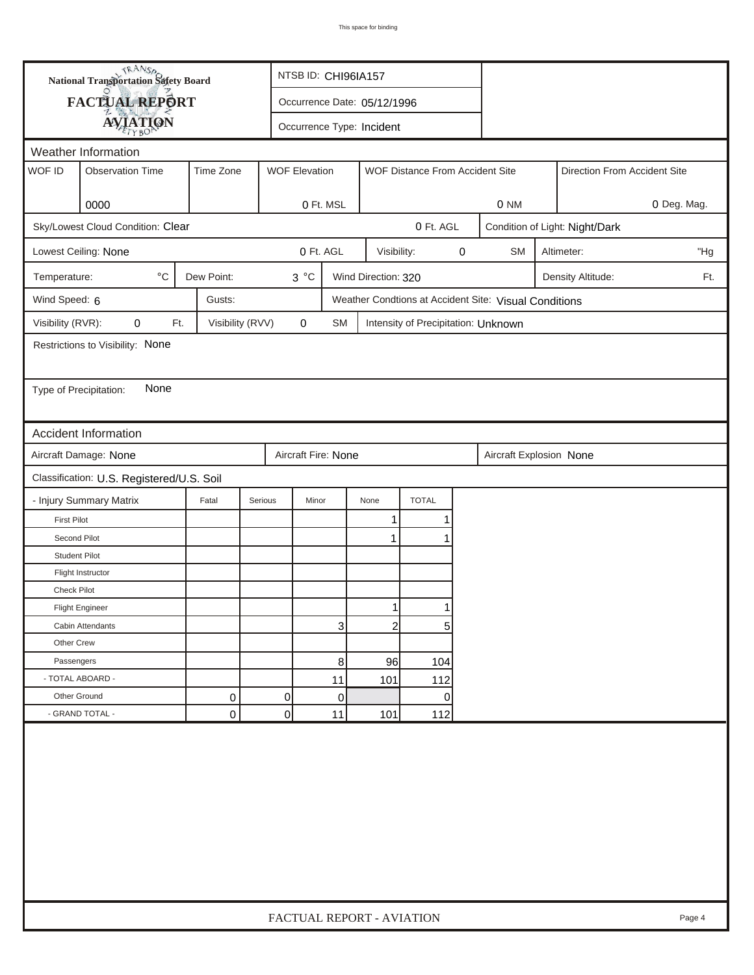| FACTUAL REPORT<br>Occurrence Date: 05/12/1996<br><b>AVIATION</b><br>Occurrence Type: Incident<br>Weather Information<br>WOF ID<br>Time Zone<br><b>Observation Time</b><br><b>WOF Elevation</b><br>WOF Distance From Accident Site<br>Direction From Accident Site<br>0000<br>0 Ft. MSL<br>0 NM<br>Sky/Lowest Cloud Condition: Clear<br>0 Ft. AGL<br>Condition of Light: Night/Dark<br>0 Ft. AGL<br>0<br>Lowest Ceiling: None<br>Visibility:<br><b>SM</b><br>Altimeter:<br>$^{\circ}$ C<br>Dew Point:<br>$3^{\circ}C$<br>Temperature:<br>Wind Direction: 320<br>Density Altitude:<br>Wind Speed: 6<br>Gusts:<br>Weather Condtions at Accident Site: Visual Conditions<br>Visibility (RVR):<br>0<br>Visibility (RVV)<br>0<br>Ft.<br><b>SM</b><br>Intensity of Precipitation: Unknown<br>Restrictions to Visibility: None<br>None<br>Type of Precipitation:<br>Accident Information<br>Aircraft Fire: None<br>Aircraft Damage: None<br>Aircraft Explosion None<br>Classification: U.S. Registered/U.S. Soil<br>- Injury Summary Matrix<br><b>TOTAL</b><br>Fatal<br>Serious<br>Minor<br>None<br><b>First Pilot</b><br>1<br>Second Pilot<br>1<br><b>Student Pilot</b><br>Flight Instructor<br>Check Pilot<br>1<br>1<br><b>Flight Engineer</b> | <b>National Transportation Safety Board</b> |  | NTSB ID: CHI96IA157       |  |  |  |  |  |             |
|------------------------------------------------------------------------------------------------------------------------------------------------------------------------------------------------------------------------------------------------------------------------------------------------------------------------------------------------------------------------------------------------------------------------------------------------------------------------------------------------------------------------------------------------------------------------------------------------------------------------------------------------------------------------------------------------------------------------------------------------------------------------------------------------------------------------------------------------------------------------------------------------------------------------------------------------------------------------------------------------------------------------------------------------------------------------------------------------------------------------------------------------------------------------------------------------------------------------------------------|---------------------------------------------|--|---------------------------|--|--|--|--|--|-------------|
|                                                                                                                                                                                                                                                                                                                                                                                                                                                                                                                                                                                                                                                                                                                                                                                                                                                                                                                                                                                                                                                                                                                                                                                                                                          |                                             |  |                           |  |  |  |  |  |             |
|                                                                                                                                                                                                                                                                                                                                                                                                                                                                                                                                                                                                                                                                                                                                                                                                                                                                                                                                                                                                                                                                                                                                                                                                                                          |                                             |  |                           |  |  |  |  |  |             |
|                                                                                                                                                                                                                                                                                                                                                                                                                                                                                                                                                                                                                                                                                                                                                                                                                                                                                                                                                                                                                                                                                                                                                                                                                                          |                                             |  |                           |  |  |  |  |  |             |
|                                                                                                                                                                                                                                                                                                                                                                                                                                                                                                                                                                                                                                                                                                                                                                                                                                                                                                                                                                                                                                                                                                                                                                                                                                          |                                             |  |                           |  |  |  |  |  |             |
|                                                                                                                                                                                                                                                                                                                                                                                                                                                                                                                                                                                                                                                                                                                                                                                                                                                                                                                                                                                                                                                                                                                                                                                                                                          |                                             |  |                           |  |  |  |  |  |             |
|                                                                                                                                                                                                                                                                                                                                                                                                                                                                                                                                                                                                                                                                                                                                                                                                                                                                                                                                                                                                                                                                                                                                                                                                                                          |                                             |  |                           |  |  |  |  |  | 0 Deg. Mag. |
|                                                                                                                                                                                                                                                                                                                                                                                                                                                                                                                                                                                                                                                                                                                                                                                                                                                                                                                                                                                                                                                                                                                                                                                                                                          |                                             |  |                           |  |  |  |  |  |             |
|                                                                                                                                                                                                                                                                                                                                                                                                                                                                                                                                                                                                                                                                                                                                                                                                                                                                                                                                                                                                                                                                                                                                                                                                                                          |                                             |  |                           |  |  |  |  |  | "Hg         |
|                                                                                                                                                                                                                                                                                                                                                                                                                                                                                                                                                                                                                                                                                                                                                                                                                                                                                                                                                                                                                                                                                                                                                                                                                                          |                                             |  |                           |  |  |  |  |  | Ft.         |
|                                                                                                                                                                                                                                                                                                                                                                                                                                                                                                                                                                                                                                                                                                                                                                                                                                                                                                                                                                                                                                                                                                                                                                                                                                          |                                             |  |                           |  |  |  |  |  |             |
|                                                                                                                                                                                                                                                                                                                                                                                                                                                                                                                                                                                                                                                                                                                                                                                                                                                                                                                                                                                                                                                                                                                                                                                                                                          |                                             |  |                           |  |  |  |  |  |             |
|                                                                                                                                                                                                                                                                                                                                                                                                                                                                                                                                                                                                                                                                                                                                                                                                                                                                                                                                                                                                                                                                                                                                                                                                                                          |                                             |  |                           |  |  |  |  |  |             |
|                                                                                                                                                                                                                                                                                                                                                                                                                                                                                                                                                                                                                                                                                                                                                                                                                                                                                                                                                                                                                                                                                                                                                                                                                                          |                                             |  |                           |  |  |  |  |  |             |
|                                                                                                                                                                                                                                                                                                                                                                                                                                                                                                                                                                                                                                                                                                                                                                                                                                                                                                                                                                                                                                                                                                                                                                                                                                          |                                             |  |                           |  |  |  |  |  |             |
|                                                                                                                                                                                                                                                                                                                                                                                                                                                                                                                                                                                                                                                                                                                                                                                                                                                                                                                                                                                                                                                                                                                                                                                                                                          |                                             |  |                           |  |  |  |  |  |             |
|                                                                                                                                                                                                                                                                                                                                                                                                                                                                                                                                                                                                                                                                                                                                                                                                                                                                                                                                                                                                                                                                                                                                                                                                                                          |                                             |  |                           |  |  |  |  |  |             |
|                                                                                                                                                                                                                                                                                                                                                                                                                                                                                                                                                                                                                                                                                                                                                                                                                                                                                                                                                                                                                                                                                                                                                                                                                                          |                                             |  |                           |  |  |  |  |  |             |
|                                                                                                                                                                                                                                                                                                                                                                                                                                                                                                                                                                                                                                                                                                                                                                                                                                                                                                                                                                                                                                                                                                                                                                                                                                          |                                             |  |                           |  |  |  |  |  |             |
|                                                                                                                                                                                                                                                                                                                                                                                                                                                                                                                                                                                                                                                                                                                                                                                                                                                                                                                                                                                                                                                                                                                                                                                                                                          |                                             |  |                           |  |  |  |  |  |             |
|                                                                                                                                                                                                                                                                                                                                                                                                                                                                                                                                                                                                                                                                                                                                                                                                                                                                                                                                                                                                                                                                                                                                                                                                                                          |                                             |  |                           |  |  |  |  |  |             |
|                                                                                                                                                                                                                                                                                                                                                                                                                                                                                                                                                                                                                                                                                                                                                                                                                                                                                                                                                                                                                                                                                                                                                                                                                                          |                                             |  |                           |  |  |  |  |  |             |
|                                                                                                                                                                                                                                                                                                                                                                                                                                                                                                                                                                                                                                                                                                                                                                                                                                                                                                                                                                                                                                                                                                                                                                                                                                          |                                             |  |                           |  |  |  |  |  |             |
|                                                                                                                                                                                                                                                                                                                                                                                                                                                                                                                                                                                                                                                                                                                                                                                                                                                                                                                                                                                                                                                                                                                                                                                                                                          |                                             |  |                           |  |  |  |  |  |             |
|                                                                                                                                                                                                                                                                                                                                                                                                                                                                                                                                                                                                                                                                                                                                                                                                                                                                                                                                                                                                                                                                                                                                                                                                                                          |                                             |  |                           |  |  |  |  |  |             |
|                                                                                                                                                                                                                                                                                                                                                                                                                                                                                                                                                                                                                                                                                                                                                                                                                                                                                                                                                                                                                                                                                                                                                                                                                                          |                                             |  |                           |  |  |  |  |  |             |
| 3<br>$\overline{2}$<br>5<br>Cabin Attendants                                                                                                                                                                                                                                                                                                                                                                                                                                                                                                                                                                                                                                                                                                                                                                                                                                                                                                                                                                                                                                                                                                                                                                                             |                                             |  |                           |  |  |  |  |  |             |
| Other Crew                                                                                                                                                                                                                                                                                                                                                                                                                                                                                                                                                                                                                                                                                                                                                                                                                                                                                                                                                                                                                                                                                                                                                                                                                               |                                             |  |                           |  |  |  |  |  |             |
| Passengers<br>8<br>96<br>104                                                                                                                                                                                                                                                                                                                                                                                                                                                                                                                                                                                                                                                                                                                                                                                                                                                                                                                                                                                                                                                                                                                                                                                                             |                                             |  |                           |  |  |  |  |  |             |
| - TOTAL ABOARD -<br>11<br>101<br>112                                                                                                                                                                                                                                                                                                                                                                                                                                                                                                                                                                                                                                                                                                                                                                                                                                                                                                                                                                                                                                                                                                                                                                                                     |                                             |  |                           |  |  |  |  |  |             |
| Other Ground<br>0<br>0<br>0<br>0                                                                                                                                                                                                                                                                                                                                                                                                                                                                                                                                                                                                                                                                                                                                                                                                                                                                                                                                                                                                                                                                                                                                                                                                         |                                             |  |                           |  |  |  |  |  |             |
| $\overline{0}$<br>- GRAND TOTAL -<br>$\mathbf 0$<br>11<br>101<br>112                                                                                                                                                                                                                                                                                                                                                                                                                                                                                                                                                                                                                                                                                                                                                                                                                                                                                                                                                                                                                                                                                                                                                                     |                                             |  |                           |  |  |  |  |  |             |
|                                                                                                                                                                                                                                                                                                                                                                                                                                                                                                                                                                                                                                                                                                                                                                                                                                                                                                                                                                                                                                                                                                                                                                                                                                          |                                             |  | FACTUAL REPORT - AVIATION |  |  |  |  |  | Page 4      |